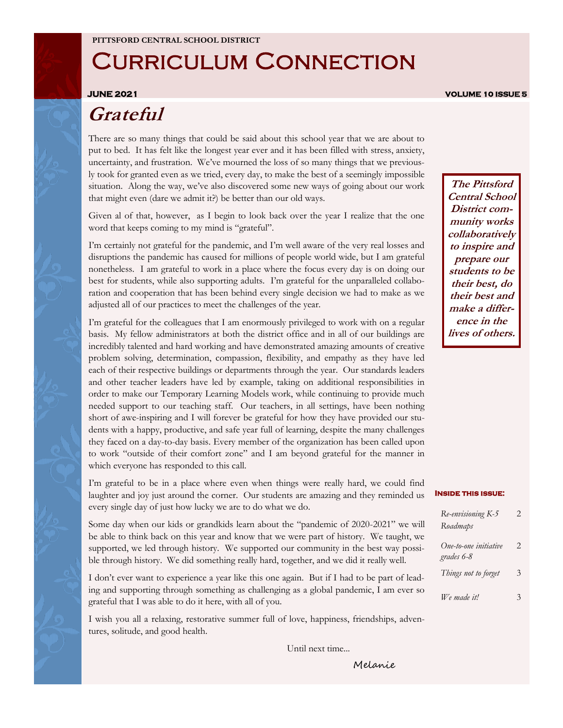### Curriculum Connection

**JUNE 2021 VOLUME 10 ISSUE 5** 

#### **Grateful**

There are so many things that could be said about this school year that we are about to put to bed. It has felt like the longest year ever and it has been filled with stress, anxiety, uncertainty, and frustration. We've mourned the loss of so many things that we previously took for granted even as we tried, every day, to make the best of a seemingly impossible situation. Along the way, we've also discovered some new ways of going about our work that might even (dare we admit it?) be better than our old ways.

Given al of that, however, as I begin to look back over the year I realize that the one word that keeps coming to my mind is "grateful".

I'm certainly not grateful for the pandemic, and I'm well aware of the very real losses and disruptions the pandemic has caused for millions of people world wide, but I am grateful nonetheless. I am grateful to work in a place where the focus every day is on doing our best for students, while also supporting adults. I'm grateful for the unparalleled collaboration and cooperation that has been behind every single decision we had to make as we adjusted all of our practices to meet the challenges of the year.

I'm grateful for the colleagues that I am enormously privileged to work with on a regular basis. My fellow administrators at both the district office and in all of our buildings are incredibly talented and hard working and have demonstrated amazing amounts of creative problem solving, determination, compassion, flexibility, and empathy as they have led each of their respective buildings or departments through the year. Our standards leaders and other teacher leaders have led by example, taking on additional responsibilities in order to make our Temporary Learning Models work, while continuing to provide much needed support to our teaching staff. Our teachers, in all settings, have been nothing short of awe-inspiring and I will forever be grateful for how they have provided our students with a happy, productive, and safe year full of learning, despite the many challenges they faced on a day-to-day basis. Every member of the organization has been called upon to work "outside of their comfort zone" and I am beyond grateful for the manner in which everyone has responded to this call.

I'm grateful to be in a place where even when things were really hard, we could find laughter and joy just around the corner. Our students are amazing and they reminded us every single day of just how lucky we are to do what we do.

Some day when our kids or grandkids learn about the "pandemic of 2020-2021" we will be able to think back on this year and know that we were part of history. We taught, we supported, we led through history. We supported our community in the best way possible through history. We did something really hard, together, and we did it really well.

I don't ever want to experience a year like this one again. But if I had to be part of leading and supporting through something as challenging as a global pandemic, I am ever so grateful that I was able to do it here, with all of you.

I wish you all a relaxing, restorative summer full of love, happiness, friendships, adventures, solitude, and good health.

Until next time...

**The Pittsford Central School District community works collaboratively to inspire and prepare our students to be their best, do their best and make a difference in the lives of others.**

#### **Inside this issue:**

| Re-envisioning K-5<br>Roadmaps      | 2  |
|-------------------------------------|----|
| One-to-one initiative<br>grades 6-8 | 2. |
| Things not to forget                | 3  |
| We made it!                         | 3  |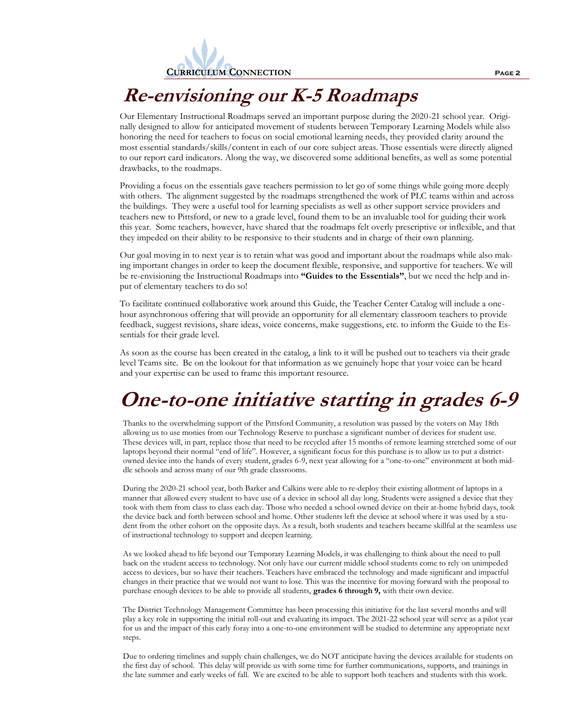

#### **Re-envisioning our K-5 Roadmaps**

Our Elementary Instructional Roadmaps served an important purpose during the 2020-21 school year. Originally designed to allow for anticipated movement of students between Temporary Learning Models while also honoring the need for teachers to focus on social emotional learning needs, they provided clarity around the most essential standards/skills/content in each of our core subject areas. Those essentials were directly aligned to our report card indicators. Along the way, we discovered some additional benefits, as well as some potential drawbacks, to the roadmaps.

Providing a focus on the essentials gave teachers permission to let go of some things while going more deeply with others. The alignment suggested by the roadmaps strengthened the work of PLC teams within and across the buildings. They were a useful tool for learning specialists as well as other support service providers and teachers new to Pittsford, or new to a grade level, found them to be an invaluable tool for guiding their work this year. Some teachers, however, have shared that the roadmaps felt overly prescriptive or inflexible, and that they impeded on their ability to be responsive to their students and in charge of their own planning.

Our goal moving in to next year is to retain what was good and important about the roadmaps while also making important changes in order to keep the document flexible, responsive, and supportive for teachers. We will be re-envisioning the Instructional Roadmaps into **"Guides to the Essentials"**, but we need the help and input of elementary teachers to do so!

To facilitate continued collaborative work around this Guide, the Teacher Center Catalog will include a onehour asynchronous offering that will provide an opportunity for all elementary classroom teachers to provide feedback, suggest revisions, share ideas, voice concerns, make suggestions, etc. to inform the Guide to the Essentials for their grade level.

As soon as the course has been created in the catalog, a link to it will be pushed out to teachers via their grade level Teams site. Be on the lookout for that information as we genuinely hope that your voice can be heard and your expertise can be used to frame this important resource.

# **One-to-one initiative starting in grades 6-9**

Thanks to the overwhelming support of the Pittsford Community, a resolution was passed by the voters on May 18th allowing us to use monies from our Technology Reserve to purchase a significant number of devices for student use. These devices will, in part, replace those that need to be recycled after 15 months of remote learning stretched some of our laptops beyond their normal "end of life". However, a significant focus for this purchase is to allow us to put a districtowned device into the hands of every student, grades 6-9, next year allowing for a "one-to-one" environment at both middle schools and across many of our 9th grade classrooms.

During the 2020-21 school year, both Barker and Calkins were able to re-deploy their existing allotment of laptops in a manner that allowed every student to have use of a device in school all day long. Students were assigned a device that they took with them from class to class each day. Those who needed a school owned device on their at-home hybrid days, took the device back and forth between school and home. Other students left the device at school where it was used by a student from the other cohort on the opposite days. As a result, both students and teachers became skillful at the seamless use of instructional technology to support and deepen learning.

As we looked ahead to life beyond our Temporary Learning Models, it was challenging to think about the need to pull back on the student access to technology. Not only have our current middle school students come to rely on unimpeded access to devices, but so have their teachers. Teachers have embraced the technology and made significant and impactful changes in their practice that we would not want to lose. This was the incentive for moving forward with the proposal to purchase enough devices to be able to provide all students, **grades 6 through 9,** with their own device.

The District Technology Management Committee has been processing this initiative for the last several months and will play a key role in supporting the initial roll-out and evaluating its impact. The 2021-22 school year will serve as a pilot year for us and the impact of this early foray into a one-to-one environment will be studied to determine any appropriate next steps.

Due to ordering timelines and supply chain challenges, we do NOT anticipate having the devices available for students on the first day of school. This delay will provide us with some time for further communications, supports, and trainings in the late summer and early weeks of fall. We are excited to be able to support both teachers and students with this work.